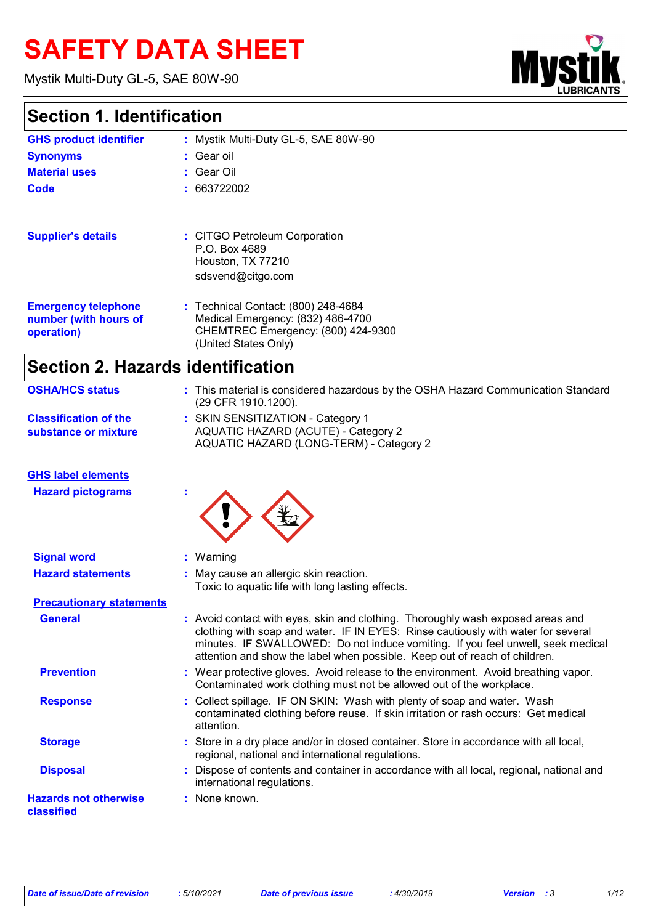# **SAFETY DATA SHEET**

Mystik Multi-Duty GL-5, SAE 80W-90



### **Section 1. Identification**

| <b>GHS product identifier</b>                                     | : Mystik Multi-Duty GL-5, SAE 80W-90                                                                                                   |
|-------------------------------------------------------------------|----------------------------------------------------------------------------------------------------------------------------------------|
| <b>Synonyms</b>                                                   | $\therefore$ Gear oil                                                                                                                  |
| <b>Material uses</b>                                              | : Gear Oil                                                                                                                             |
| Code                                                              | : 663722002                                                                                                                            |
| <b>Supplier's details</b>                                         | : CITGO Petroleum Corporation                                                                                                          |
|                                                                   | P.O. Box 4689<br>Houston, TX 77210                                                                                                     |
|                                                                   | sdsvend@citgo.com                                                                                                                      |
| <b>Emergency telephone</b><br>number (with hours of<br>operation) | : Technical Contact: (800) 248-4684<br>Medical Emergency: (832) 486-4700<br>CHEMTREC Emergency: (800) 424-9300<br>(United States Only) |
|                                                                   |                                                                                                                                        |

### **Section 2. Hazards identification**

| <b>OSHA/HCS status</b>                               | : This material is considered hazardous by the OSHA Hazard Communication Standard<br>(29 CFR 1910.1200).                                                                                                                                                                                                                              |
|------------------------------------------------------|---------------------------------------------------------------------------------------------------------------------------------------------------------------------------------------------------------------------------------------------------------------------------------------------------------------------------------------|
| <b>Classification of the</b><br>substance or mixture | : SKIN SENSITIZATION - Category 1<br>AQUATIC HAZARD (ACUTE) - Category 2<br>AQUATIC HAZARD (LONG-TERM) - Category 2                                                                                                                                                                                                                   |
| <b>GHS label elements</b>                            |                                                                                                                                                                                                                                                                                                                                       |
| <b>Hazard pictograms</b>                             |                                                                                                                                                                                                                                                                                                                                       |
| <b>Signal word</b>                                   | Warning                                                                                                                                                                                                                                                                                                                               |
| <b>Hazard statements</b>                             | May cause an allergic skin reaction.<br>Toxic to aquatic life with long lasting effects.                                                                                                                                                                                                                                              |
| <b>Precautionary statements</b>                      |                                                                                                                                                                                                                                                                                                                                       |
| <b>General</b>                                       | : Avoid contact with eyes, skin and clothing. Thoroughly wash exposed areas and<br>clothing with soap and water. IF IN EYES: Rinse cautiously with water for several<br>minutes. IF SWALLOWED: Do not induce vomiting. If you feel unwell, seek medical<br>attention and show the label when possible. Keep out of reach of children. |
| <b>Prevention</b>                                    | Wear protective gloves. Avoid release to the environment. Avoid breathing vapor.<br>Contaminated work clothing must not be allowed out of the workplace.                                                                                                                                                                              |
| <b>Response</b>                                      | Collect spillage. IF ON SKIN: Wash with plenty of soap and water. Wash<br>contaminated clothing before reuse. If skin irritation or rash occurs: Get medical<br>attention.                                                                                                                                                            |
| <b>Storage</b>                                       | Store in a dry place and/or in closed container. Store in accordance with all local,<br>regional, national and international regulations.                                                                                                                                                                                             |
| <b>Disposal</b>                                      | Dispose of contents and container in accordance with all local, regional, national and<br>international regulations.                                                                                                                                                                                                                  |
| <b>Hazards not otherwise</b><br>classified           | : None known.                                                                                                                                                                                                                                                                                                                         |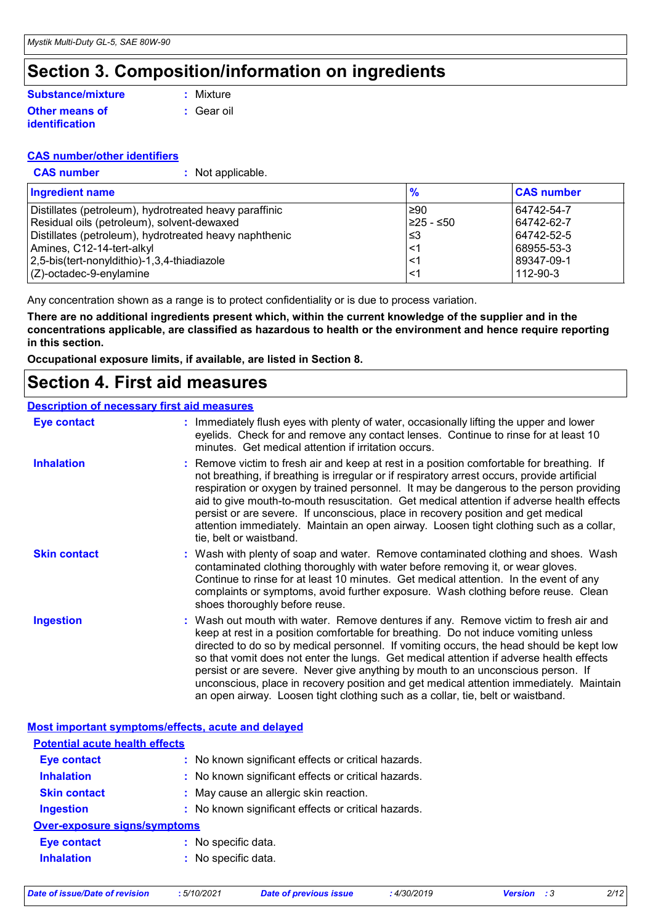### **Section 3. Composition/information on ingredients**

#### **Other means of identification Substance/mixture**

**:** Gear oil **:** Mixture

#### **CAS number/other identifiers**

**CAS number :** Not applicable.

| <b>Ingredient name</b>                                 | $\frac{9}{6}$ | <b>CAS number</b> |
|--------------------------------------------------------|---------------|-------------------|
| Distillates (petroleum), hydrotreated heavy paraffinic | 1≥90          | 64742-54-7        |
| Residual oils (petroleum), solvent-dewaxed             | I≥25 - ≤50    | 64742-62-7        |
| Distillates (petroleum), hydrotreated heavy naphthenic | ا≤3           | 64742-52-5        |
| Amines, C12-14-tert-alkyl                              | $\leq$        | 68955-53-3        |
| 2,5-bis(tert-nonyldithio)-1,3,4-thiadiazole            | $\lt'$        | l 89347-09-1      |
| $(Z)$ -octadec-9-enylamine                             | ≤1            | 112-90-3          |

Any concentration shown as a range is to protect confidentiality or is due to process variation.

**There are no additional ingredients present which, within the current knowledge of the supplier and in the concentrations applicable, are classified as hazardous to health or the environment and hence require reporting in this section.**

**Occupational exposure limits, if available, are listed in Section 8.**

### **Section 4. First aid measures**

#### **Description of necessary first aid measures**

| <b>Eye contact</b>  | : Immediately flush eyes with plenty of water, occasionally lifting the upper and lower<br>eyelids. Check for and remove any contact lenses. Continue to rinse for at least 10<br>minutes. Get medical attention if irritation occurs.                                                                                                                                                                                                                                                                                                                                                                                             |
|---------------------|------------------------------------------------------------------------------------------------------------------------------------------------------------------------------------------------------------------------------------------------------------------------------------------------------------------------------------------------------------------------------------------------------------------------------------------------------------------------------------------------------------------------------------------------------------------------------------------------------------------------------------|
| <b>Inhalation</b>   | : Remove victim to fresh air and keep at rest in a position comfortable for breathing. If<br>not breathing, if breathing is irregular or if respiratory arrest occurs, provide artificial<br>respiration or oxygen by trained personnel. It may be dangerous to the person providing<br>aid to give mouth-to-mouth resuscitation. Get medical attention if adverse health effects<br>persist or are severe. If unconscious, place in recovery position and get medical<br>attention immediately. Maintain an open airway. Loosen tight clothing such as a collar,<br>tie, belt or waistband.                                       |
| <b>Skin contact</b> | : Wash with plenty of soap and water. Remove contaminated clothing and shoes. Wash<br>contaminated clothing thoroughly with water before removing it, or wear gloves.<br>Continue to rinse for at least 10 minutes. Get medical attention. In the event of any<br>complaints or symptoms, avoid further exposure. Wash clothing before reuse. Clean<br>shoes thoroughly before reuse.                                                                                                                                                                                                                                              |
| <b>Ingestion</b>    | : Wash out mouth with water. Remove dentures if any. Remove victim to fresh air and<br>keep at rest in a position comfortable for breathing. Do not induce vomiting unless<br>directed to do so by medical personnel. If vomiting occurs, the head should be kept low<br>so that vomit does not enter the lungs. Get medical attention if adverse health effects<br>persist or are severe. Never give anything by mouth to an unconscious person. If<br>unconscious, place in recovery position and get medical attention immediately. Maintain<br>an open airway. Loosen tight clothing such as a collar, tie, belt or waistband. |

#### **Most important symptoms/effects, acute and delayed**

| <b>Potential acute health effects</b> |                                                     |  |
|---------------------------------------|-----------------------------------------------------|--|
| <b>Eye contact</b>                    | : No known significant effects or critical hazards. |  |
| <b>Inhalation</b>                     | : No known significant effects or critical hazards. |  |
| <b>Skin contact</b>                   | : May cause an allergic skin reaction.              |  |
| <b>Ingestion</b>                      | : No known significant effects or critical hazards. |  |
| <b>Over-exposure signs/symptoms</b>   |                                                     |  |
| <b>Eye contact</b>                    | : No specific data.                                 |  |
| <b>Inhalation</b>                     | : No specific data.                                 |  |
|                                       |                                                     |  |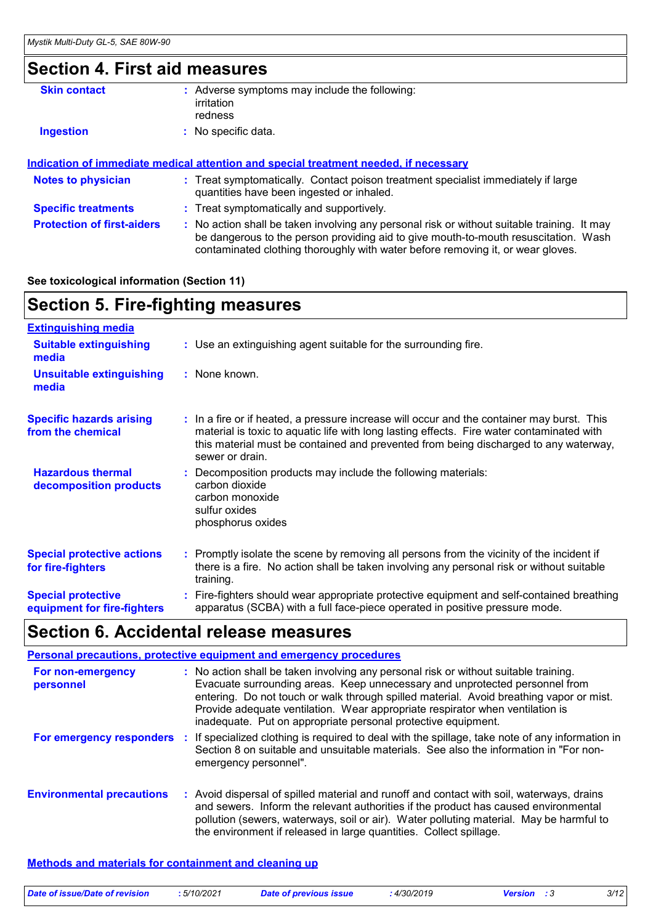### **Section 4. First aid measures**

| <b>Skin contact</b>        | : Adverse symptoms may include the following:<br>irritation<br>redness                                                         |
|----------------------------|--------------------------------------------------------------------------------------------------------------------------------|
| <b>Ingestion</b>           | No specific data.                                                                                                              |
|                            | Indication of immediate medical attention and special treatment needed, if necessary                                           |
| <b>Notes to physician</b>  | : Treat symptomatically. Contact poison treatment specialist immediately if large<br>quantities have been ingested or inhaled. |
| <b>Specific treatments</b> | : Treat symptomatically and supportively.                                                                                      |

**Protection of first-aiders** : No action shall be taken involving any personal risk or without suitable training. It may be dangerous to the person providing aid to give mouth-to-mouth resuscitation. Wash contaminated clothing thoroughly with water before removing it, or wear gloves.

#### **See toxicological information (Section 11)**

### **Section 5. Fire-fighting measures**

| <b>Extinguishing media</b>                               |                                                                                                                                                                                                                                                                                                    |
|----------------------------------------------------------|----------------------------------------------------------------------------------------------------------------------------------------------------------------------------------------------------------------------------------------------------------------------------------------------------|
| <b>Suitable extinguishing</b><br>media                   | : Use an extinguishing agent suitable for the surrounding fire.                                                                                                                                                                                                                                    |
| <b>Unsuitable extinguishing</b><br>media                 | : None known.                                                                                                                                                                                                                                                                                      |
| <b>Specific hazards arising</b><br>from the chemical     | : In a fire or if heated, a pressure increase will occur and the container may burst. This<br>material is toxic to aquatic life with long lasting effects. Fire water contaminated with<br>this material must be contained and prevented from being discharged to any waterway,<br>sewer or drain. |
| <b>Hazardous thermal</b><br>decomposition products       | Decomposition products may include the following materials:<br>carbon dioxide<br>carbon monoxide<br>sulfur oxides<br>phosphorus oxides                                                                                                                                                             |
| <b>Special protective actions</b><br>for fire-fighters   | : Promptly isolate the scene by removing all persons from the vicinity of the incident if<br>there is a fire. No action shall be taken involving any personal risk or without suitable<br>training.                                                                                                |
| <b>Special protective</b><br>equipment for fire-fighters | Fire-fighters should wear appropriate protective equipment and self-contained breathing<br>apparatus (SCBA) with a full face-piece operated in positive pressure mode.                                                                                                                             |

### **Section 6. Accidental release measures**

|                                  | <b>Personal precautions, protective equipment and emergency procedures</b>                                                                                                                                                                                                                                                                                                                                       |
|----------------------------------|------------------------------------------------------------------------------------------------------------------------------------------------------------------------------------------------------------------------------------------------------------------------------------------------------------------------------------------------------------------------------------------------------------------|
| For non-emergency<br>personnel   | : No action shall be taken involving any personal risk or without suitable training.<br>Evacuate surrounding areas. Keep unnecessary and unprotected personnel from<br>entering. Do not touch or walk through spilled material. Avoid breathing vapor or mist.<br>Provide adequate ventilation. Wear appropriate respirator when ventilation is<br>inadequate. Put on appropriate personal protective equipment. |
| For emergency responders         | : If specialized clothing is required to deal with the spillage, take note of any information in<br>Section 8 on suitable and unsuitable materials. See also the information in "For non-<br>emergency personnel".                                                                                                                                                                                               |
| <b>Environmental precautions</b> | : Avoid dispersal of spilled material and runoff and contact with soil, waterways, drains<br>and sewers. Inform the relevant authorities if the product has caused environmental<br>pollution (sewers, waterways, soil or air). Water polluting material. May be harmful to<br>the environment if released in large quantities. Collect spillage.                                                                |

#### **Methods and materials for containment and cleaning up**

|  | Date of issue/Date of revision | .5/10/2021 | <b>Date of previous issue</b> | 4/30/2019 | Version | 3/12 |
|--|--------------------------------|------------|-------------------------------|-----------|---------|------|
|--|--------------------------------|------------|-------------------------------|-----------|---------|------|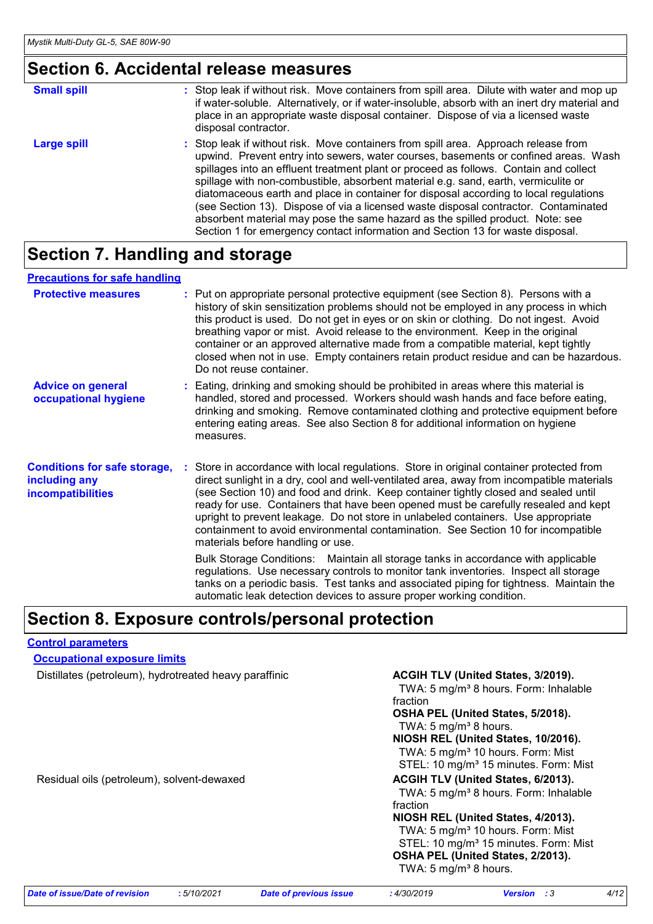### **Section 6. Accidental release measures**

| <b>Small spill</b> | : Stop leak if without risk. Move containers from spill area. Dilute with water and mop up<br>if water-soluble. Alternatively, or if water-insoluble, absorb with an inert dry material and<br>place in an appropriate waste disposal container. Dispose of via a licensed waste<br>disposal contractor.                                                                                                                                                                                                                                                                                                                                                                                                     |
|--------------------|--------------------------------------------------------------------------------------------------------------------------------------------------------------------------------------------------------------------------------------------------------------------------------------------------------------------------------------------------------------------------------------------------------------------------------------------------------------------------------------------------------------------------------------------------------------------------------------------------------------------------------------------------------------------------------------------------------------|
| Large spill        | : Stop leak if without risk. Move containers from spill area. Approach release from<br>upwind. Prevent entry into sewers, water courses, basements or confined areas. Wash<br>spillages into an effluent treatment plant or proceed as follows. Contain and collect<br>spillage with non-combustible, absorbent material e.g. sand, earth, vermiculite or<br>diatomaceous earth and place in container for disposal according to local regulations<br>(see Section 13). Dispose of via a licensed waste disposal contractor. Contaminated<br>absorbent material may pose the same hazard as the spilled product. Note: see<br>Section 1 for emergency contact information and Section 13 for waste disposal. |

### **Section 7. Handling and storage**

#### **Precautions for safe handling**

| <b>Protective measures</b>                                                       | : Put on appropriate personal protective equipment (see Section 8). Persons with a<br>history of skin sensitization problems should not be employed in any process in which<br>this product is used. Do not get in eyes or on skin or clothing. Do not ingest. Avoid<br>breathing vapor or mist. Avoid release to the environment. Keep in the original<br>container or an approved alternative made from a compatible material, kept tightly<br>closed when not in use. Empty containers retain product residue and can be hazardous.<br>Do not reuse container.                  |
|----------------------------------------------------------------------------------|------------------------------------------------------------------------------------------------------------------------------------------------------------------------------------------------------------------------------------------------------------------------------------------------------------------------------------------------------------------------------------------------------------------------------------------------------------------------------------------------------------------------------------------------------------------------------------|
| <b>Advice on general</b><br>occupational hygiene                                 | : Eating, drinking and smoking should be prohibited in areas where this material is<br>handled, stored and processed. Workers should wash hands and face before eating,<br>drinking and smoking. Remove contaminated clothing and protective equipment before<br>entering eating areas. See also Section 8 for additional information on hygiene<br>measures.                                                                                                                                                                                                                      |
| <b>Conditions for safe storage,</b><br>including any<br><b>incompatibilities</b> | : Store in accordance with local regulations. Store in original container protected from<br>direct sunlight in a dry, cool and well-ventilated area, away from incompatible materials<br>(see Section 10) and food and drink. Keep container tightly closed and sealed until<br>ready for use. Containers that have been opened must be carefully resealed and kept<br>upright to prevent leakage. Do not store in unlabeled containers. Use appropriate<br>containment to avoid environmental contamination. See Section 10 for incompatible<br>materials before handling or use. |
|                                                                                  | Bulk Storage Conditions: Maintain all storage tanks in accordance with applicable<br>regulations. Use necessary controls to monitor tank inventories. Inspect all storage<br>tanks on a periodic basis. Test tanks and associated piping for tightness. Maintain the<br>automatic leak detection devices to assure proper working condition.                                                                                                                                                                                                                                       |

### **Section 8. Exposure controls/personal protection**

#### **Control parameters**

**Occupational exposure limits**

Distillates (petroleum), hydrotreated heavy paraffinic **ACGIH TLV (United States, 3/2019).** 

TWA: 5 mg/m<sup>3</sup> 8 hours. Form: Inhalable fraction

**OSHA PEL (United States, 5/2018).** TWA:  $5 \text{ mg/m}^3$  8 hours.

**NIOSH REL (United States, 10/2016).** TWA: 5 mg/m<sup>3</sup> 10 hours. Form: Mist

STEL: 10 mg/m<sup>3</sup> 15 minutes. Form: Mist Residual oils (petroleum), solvent-dewaxed **ACGIH TLV (United States, 6/2013).** 

TWA: 5 mg/m<sup>3</sup> 8 hours. Form: Inhalable fraction

**NIOSH REL (United States, 4/2013).** TWA: 5 mg/m<sup>3</sup> 10 hours. Form: Mist STEL: 10 mg/m<sup>3</sup> 15 minutes. Form: Mist **OSHA PEL (United States, 2/2013).**

TWA:  $5 \text{ mg/m}^3$  8 hours.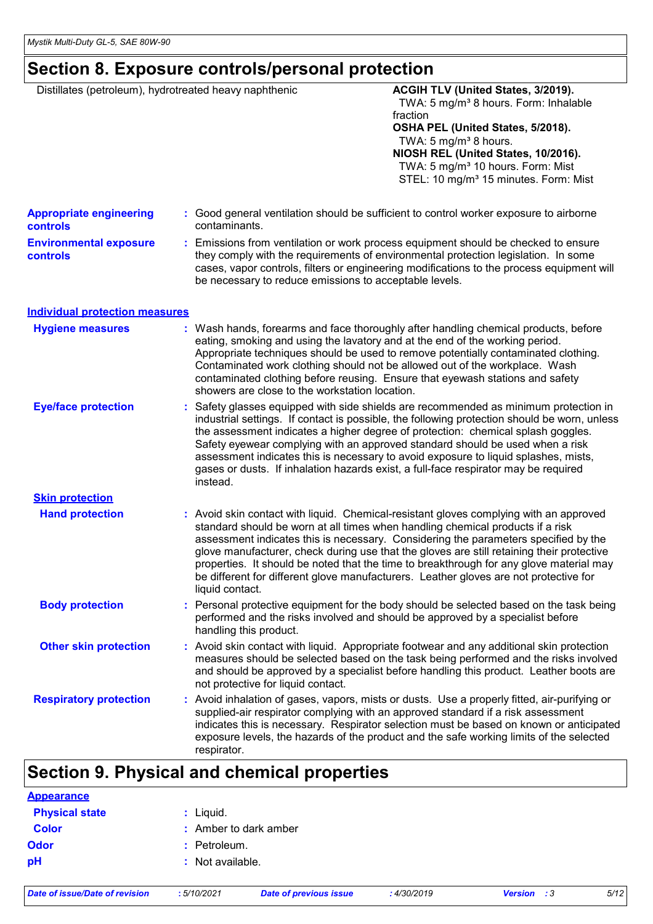### **Section 8. Exposure controls/personal protection**

| Distillates (petroleum), hydrotreated heavy naphthenic |  |                                                                                                                                                                                                                                           | ACGIH TLV (United States, 3/2019).                                                                                                                                               |  |  |
|--------------------------------------------------------|--|-------------------------------------------------------------------------------------------------------------------------------------------------------------------------------------------------------------------------------------------|----------------------------------------------------------------------------------------------------------------------------------------------------------------------------------|--|--|
|                                                        |  |                                                                                                                                                                                                                                           | TWA: 5 mg/m <sup>3</sup> 8 hours. Form: Inhalable<br>fraction                                                                                                                    |  |  |
|                                                        |  |                                                                                                                                                                                                                                           | OSHA PEL (United States, 5/2018).                                                                                                                                                |  |  |
|                                                        |  |                                                                                                                                                                                                                                           | TWA: 5 mg/m <sup>3</sup> 8 hours.                                                                                                                                                |  |  |
|                                                        |  |                                                                                                                                                                                                                                           | NIOSH REL (United States, 10/2016).<br>TWA: 5 mg/m <sup>3</sup> 10 hours. Form: Mist                                                                                             |  |  |
|                                                        |  |                                                                                                                                                                                                                                           | STEL: 10 mg/m <sup>3</sup> 15 minutes. Form: Mist                                                                                                                                |  |  |
|                                                        |  |                                                                                                                                                                                                                                           |                                                                                                                                                                                  |  |  |
| <b>Appropriate engineering</b><br><b>controls</b>      |  | contaminants.                                                                                                                                                                                                                             | : Good general ventilation should be sufficient to control worker exposure to airborne                                                                                           |  |  |
| <b>Environmental exposure</b>                          |  |                                                                                                                                                                                                                                           | : Emissions from ventilation or work process equipment should be checked to ensure                                                                                               |  |  |
| controls                                               |  | they comply with the requirements of environmental protection legislation. In some<br>cases, vapor controls, filters or engineering modifications to the process equipment will<br>be necessary to reduce emissions to acceptable levels. |                                                                                                                                                                                  |  |  |
| <b>Individual protection measures</b>                  |  |                                                                                                                                                                                                                                           |                                                                                                                                                                                  |  |  |
| <b>Hygiene measures</b>                                |  |                                                                                                                                                                                                                                           | : Wash hands, forearms and face thoroughly after handling chemical products, before                                                                                              |  |  |
|                                                        |  |                                                                                                                                                                                                                                           | eating, smoking and using the lavatory and at the end of the working period.                                                                                                     |  |  |
|                                                        |  | Appropriate techniques should be used to remove potentially contaminated clothing.<br>Contaminated work clothing should not be allowed out of the workplace. Wash                                                                         |                                                                                                                                                                                  |  |  |
|                                                        |  |                                                                                                                                                                                                                                           | contaminated clothing before reusing. Ensure that eyewash stations and safety                                                                                                    |  |  |
|                                                        |  | showers are close to the workstation location.                                                                                                                                                                                            |                                                                                                                                                                                  |  |  |
| <b>Eye/face protection</b>                             |  |                                                                                                                                                                                                                                           | : Safety glasses equipped with side shields are recommended as minimum protection in                                                                                             |  |  |
|                                                        |  |                                                                                                                                                                                                                                           | industrial settings. If contact is possible, the following protection should be worn, unless                                                                                     |  |  |
|                                                        |  |                                                                                                                                                                                                                                           | the assessment indicates a higher degree of protection: chemical splash goggles.                                                                                                 |  |  |
|                                                        |  |                                                                                                                                                                                                                                           | Safety eyewear complying with an approved standard should be used when a risk                                                                                                    |  |  |
|                                                        |  |                                                                                                                                                                                                                                           | assessment indicates this is necessary to avoid exposure to liquid splashes, mists,                                                                                              |  |  |
|                                                        |  | instead.                                                                                                                                                                                                                                  | gases or dusts. If inhalation hazards exist, a full-face respirator may be required                                                                                              |  |  |
| <b>Skin protection</b>                                 |  |                                                                                                                                                                                                                                           |                                                                                                                                                                                  |  |  |
| <b>Hand protection</b>                                 |  |                                                                                                                                                                                                                                           | : Avoid skin contact with liquid. Chemical-resistant gloves complying with an approved                                                                                           |  |  |
|                                                        |  |                                                                                                                                                                                                                                           | standard should be worn at all times when handling chemical products if a risk                                                                                                   |  |  |
|                                                        |  |                                                                                                                                                                                                                                           | assessment indicates this is necessary. Considering the parameters specified by the                                                                                              |  |  |
|                                                        |  |                                                                                                                                                                                                                                           | glove manufacturer, check during use that the gloves are still retaining their protective                                                                                        |  |  |
|                                                        |  |                                                                                                                                                                                                                                           | properties. It should be noted that the time to breakthrough for any glove material may<br>be different for different glove manufacturers. Leather gloves are not protective for |  |  |
|                                                        |  | liquid contact.                                                                                                                                                                                                                           |                                                                                                                                                                                  |  |  |
| <b>Body protection</b>                                 |  |                                                                                                                                                                                                                                           | : Personal protective equipment for the body should be selected based on the task being                                                                                          |  |  |
|                                                        |  |                                                                                                                                                                                                                                           | performed and the risks involved and should be approved by a specialist before                                                                                                   |  |  |
|                                                        |  | handling this product.                                                                                                                                                                                                                    |                                                                                                                                                                                  |  |  |
| <b>Other skin protection</b>                           |  |                                                                                                                                                                                                                                           | : Avoid skin contact with liquid. Appropriate footwear and any additional skin protection                                                                                        |  |  |
|                                                        |  |                                                                                                                                                                                                                                           | measures should be selected based on the task being performed and the risks involved                                                                                             |  |  |
|                                                        |  | not protective for liquid contact.                                                                                                                                                                                                        | and should be approved by a specialist before handling this product. Leather boots are                                                                                           |  |  |
| <b>Respiratory protection</b>                          |  |                                                                                                                                                                                                                                           | : Avoid inhalation of gases, vapors, mists or dusts. Use a properly fitted, air-purifying or                                                                                     |  |  |
|                                                        |  |                                                                                                                                                                                                                                           | supplied-air respirator complying with an approved standard if a risk assessment                                                                                                 |  |  |
|                                                        |  |                                                                                                                                                                                                                                           | indicates this is necessary. Respirator selection must be based on known or anticipated                                                                                          |  |  |
|                                                        |  |                                                                                                                                                                                                                                           | exposure levels, the hazards of the product and the safe working limits of the selected                                                                                          |  |  |
|                                                        |  | respirator.                                                                                                                                                                                                                               |                                                                                                                                                                                  |  |  |

### **Section 9. Physical and chemical properties**

| <b>Appearance</b>     |                         |
|-----------------------|-------------------------|
| <b>Physical state</b> | $:$ Liquid.             |
| <b>Color</b>          | $:$ Amber to dark amber |
| <b>Odor</b>           | $:$ Petroleum.          |
| pH                    | : Not available.        |
|                       |                         |

*Date of issue/Date of revision* **:** *5/10/2021 Date of previous issue : 4/30/2019 Version : 3 5/12*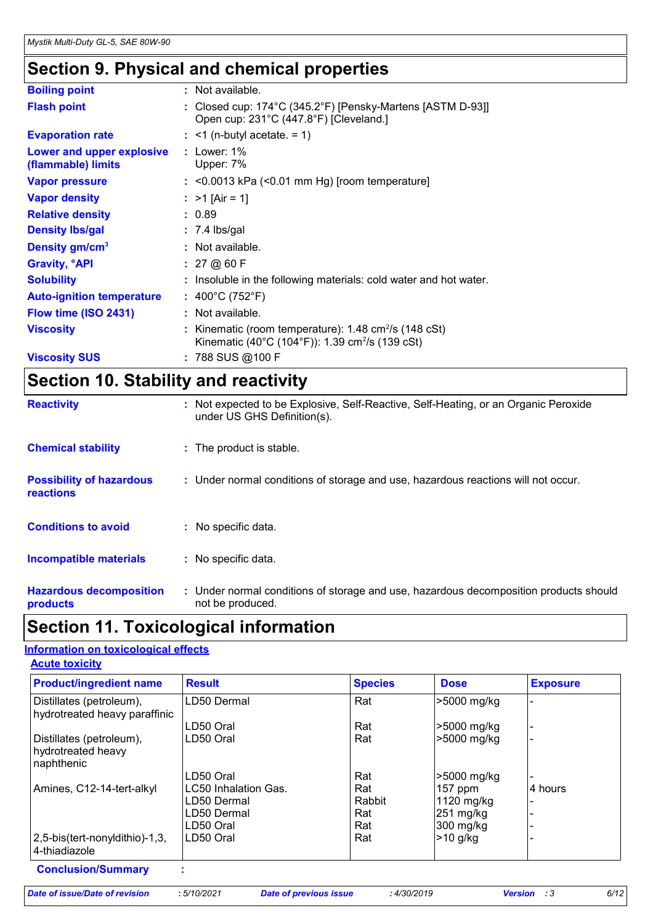### **Section 9. Physical and chemical properties**

| <b>Boiling point</b>                            | : Not available.                                                                                                                      |
|-------------------------------------------------|---------------------------------------------------------------------------------------------------------------------------------------|
| <b>Flash point</b>                              | : Closed cup: $174^{\circ}$ C (345.2 $^{\circ}$ F) [Pensky-Martens [ASTM D-93]]<br>Open cup: 231°C (447.8°F) [Cleveland.]             |
| <b>Evaporation rate</b>                         | $:$ <1 (n-butyl acetate. = 1)                                                                                                         |
| Lower and upper explosive<br>(flammable) limits | : Lower: $1\%$<br>Upper: 7%                                                                                                           |
| <b>Vapor pressure</b>                           | $:$ <0.0013 kPa (<0.01 mm Hg) [room temperature]                                                                                      |
| <b>Vapor density</b>                            | : $>1$ [Air = 1]                                                                                                                      |
| <b>Relative density</b>                         | : 0.89                                                                                                                                |
| <b>Density Ibs/gal</b>                          | $: 7.4$ lbs/gal                                                                                                                       |
| Density gm/cm <sup>3</sup>                      | : Not available.                                                                                                                      |
| <b>Gravity, <sup>o</sup>API</b>                 | : 27@60F                                                                                                                              |
| <b>Solubility</b>                               | : Insoluble in the following materials: cold water and hot water.                                                                     |
| <b>Auto-ignition temperature</b>                | : $400^{\circ}$ C (752 $^{\circ}$ F)                                                                                                  |
| Flow time (ISO 2431)                            | : Not available.                                                                                                                      |
| <b>Viscosity</b>                                | : Kinematic (room temperature): $1.48 \text{ cm}^2/\text{s}$ (148 cSt)<br>Kinematic (40°C (104°F)): 1.39 cm <sup>2</sup> /s (139 cSt) |
| <b>Viscosity SUS</b>                            | : 788 SUS @100 F                                                                                                                      |

## **Section 10. Stability and reactivity**

| <b>Reactivity</b>                                   | : Not expected to be Explosive, Self-Reactive, Self-Heating, or an Organic Peroxide<br>under US GHS Definition(s). |
|-----------------------------------------------------|--------------------------------------------------------------------------------------------------------------------|
| <b>Chemical stability</b>                           | : The product is stable.                                                                                           |
| <b>Possibility of hazardous</b><br><b>reactions</b> | : Under normal conditions of storage and use, hazardous reactions will not occur.                                  |
| <b>Conditions to avoid</b>                          | : No specific data.                                                                                                |
| <b>Incompatible materials</b>                       | : No specific data.                                                                                                |
| <b>Hazardous decomposition</b><br>products          | : Under normal conditions of storage and use, hazardous decomposition products should<br>not be produced.          |

### **Section 11. Toxicological information**

#### **Acute toxicity Information on toxicological effects**

| <b>Product/ingredient name</b>                               | <b>Result</b>        | <b>Species</b> | <b>Dose</b>           | <b>Exposure</b> |
|--------------------------------------------------------------|----------------------|----------------|-----------------------|-----------------|
| Distillates (petroleum),<br>hydrotreated heavy paraffinic    | LD50 Dermal          | Rat            | >5000 mg/kg           |                 |
|                                                              | LD50 Oral            | Rat            | -5000 mg/kg           |                 |
| Distillates (petroleum),<br>hydrotreated heavy<br>naphthenic | LD50 Oral            | Rat            | >5000 mg/kg           |                 |
|                                                              | LD50 Oral            | Rat            | >5000 mg/kg           |                 |
| Amines, C12-14-tert-alkyl                                    | LC50 Inhalation Gas. | Rat            | $157$ ppm             | 4 hours         |
|                                                              | LD50 Dermal          | Rabbit         | 1120 mg/kg            |                 |
|                                                              | LD50 Dermal          | Rat            | $ 251 \text{ mg/kg} $ |                 |
|                                                              | LD50 Oral            | Rat            | 300 mg/kg             |                 |
| 2,5-bis(tert-nonyldithio)-1,3,<br>4-thiadiazole              | LD50 Oral            | Rat            | $>10$ g/kg            |                 |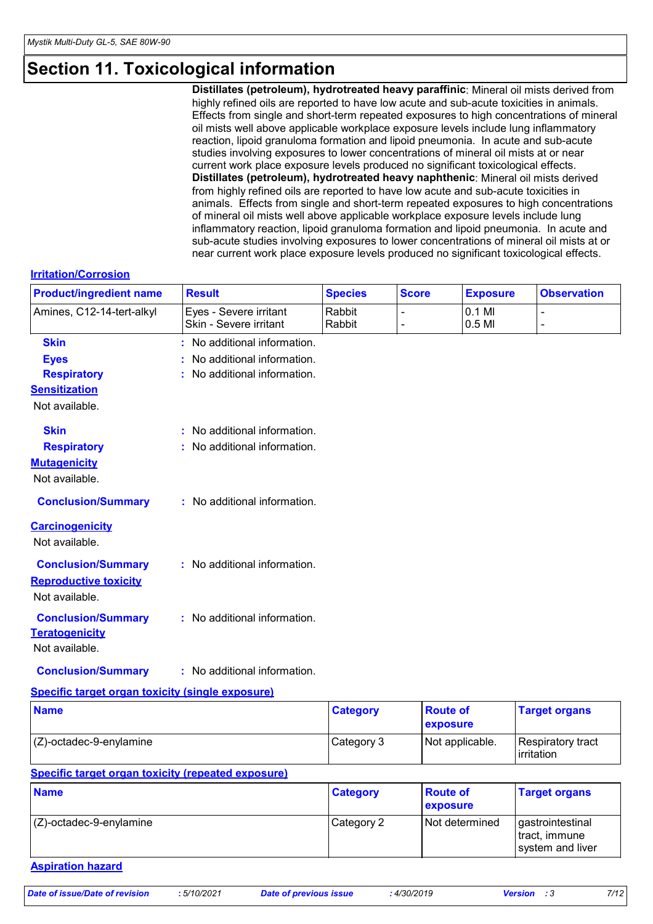### **Section 11. Toxicological information**

**Distillates (petroleum), hydrotreated heavy paraffinic**: Mineral oil mists derived from highly refined oils are reported to have low acute and sub-acute toxicities in animals. Effects from single and short-term repeated exposures to high concentrations of mineral oil mists well above applicable workplace exposure levels include lung inflammatory reaction, lipoid granuloma formation and lipoid pneumonia. In acute and sub-acute studies involving exposures to lower concentrations of mineral oil mists at or near current work place exposure levels produced no significant toxicological effects. **Distillates (petroleum), hydrotreated heavy naphthenic**: Mineral oil mists derived from highly refined oils are reported to have low acute and sub-acute toxicities in animals. Effects from single and short-term repeated exposures to high concentrations of mineral oil mists well above applicable workplace exposure levels include lung inflammatory reaction, lipoid granuloma formation and lipoid pneumonia. In acute and sub-acute studies involving exposures to lower concentrations of mineral oil mists at or near current work place exposure levels produced no significant toxicological effects.

#### **Irritation/Corrosion**

| <b>Product/ingredient name</b>                          | <b>Result</b>                                    | <b>Species</b>   | <b>Score</b>    | <b>Exposure</b>  | <b>Observation</b>   |
|---------------------------------------------------------|--------------------------------------------------|------------------|-----------------|------------------|----------------------|
| Amines, C12-14-tert-alkyl                               | Eyes - Severe irritant<br>Skin - Severe irritant | Rabbit<br>Rabbit | $\overline{a}$  | 0.1 MI<br>0.5 MI | $\overline{a}$       |
| <b>Skin</b>                                             | : No additional information.                     |                  |                 |                  |                      |
| <b>Eyes</b>                                             | No additional information.                       |                  |                 |                  |                      |
| <b>Respiratory</b>                                      | No additional information.                       |                  |                 |                  |                      |
| <b>Sensitization</b>                                    |                                                  |                  |                 |                  |                      |
| Not available.                                          |                                                  |                  |                 |                  |                      |
| <b>Skin</b>                                             | : No additional information.                     |                  |                 |                  |                      |
| <b>Respiratory</b>                                      | : No additional information.                     |                  |                 |                  |                      |
| <b>Mutagenicity</b>                                     |                                                  |                  |                 |                  |                      |
| Not available.                                          |                                                  |                  |                 |                  |                      |
| <b>Conclusion/Summary</b>                               | : No additional information.                     |                  |                 |                  |                      |
| <b>Carcinogenicity</b>                                  |                                                  |                  |                 |                  |                      |
| Not available.                                          |                                                  |                  |                 |                  |                      |
| <b>Conclusion/Summary</b>                               | : No additional information.                     |                  |                 |                  |                      |
| <b>Reproductive toxicity</b>                            |                                                  |                  |                 |                  |                      |
| Not available.                                          |                                                  |                  |                 |                  |                      |
| <b>Conclusion/Summary</b>                               | : No additional information.                     |                  |                 |                  |                      |
| <b>Teratogenicity</b>                                   |                                                  |                  |                 |                  |                      |
| Not available.                                          |                                                  |                  |                 |                  |                      |
| <b>Conclusion/Summary</b>                               | : No additional information.                     |                  |                 |                  |                      |
|                                                         |                                                  |                  |                 |                  |                      |
| <b>Specific target organ toxicity (single exposure)</b> |                                                  |                  |                 |                  |                      |
| <b>Name</b>                                             |                                                  | <b>Category</b>  | <b>Route of</b> | exposure         | <b>Target organs</b> |

#### **Specific target organ toxicity (repeated exposure) Name Category** (Z)-octadec-9-enylamine Category 2 Not determined gastrointestinal tract, immune system and liver **Route of exposure Target organs**

(Z)-octadec-9-enylamine Category 3 Not applicable. Respiratory tract

#### **Aspiration hazard**

irritation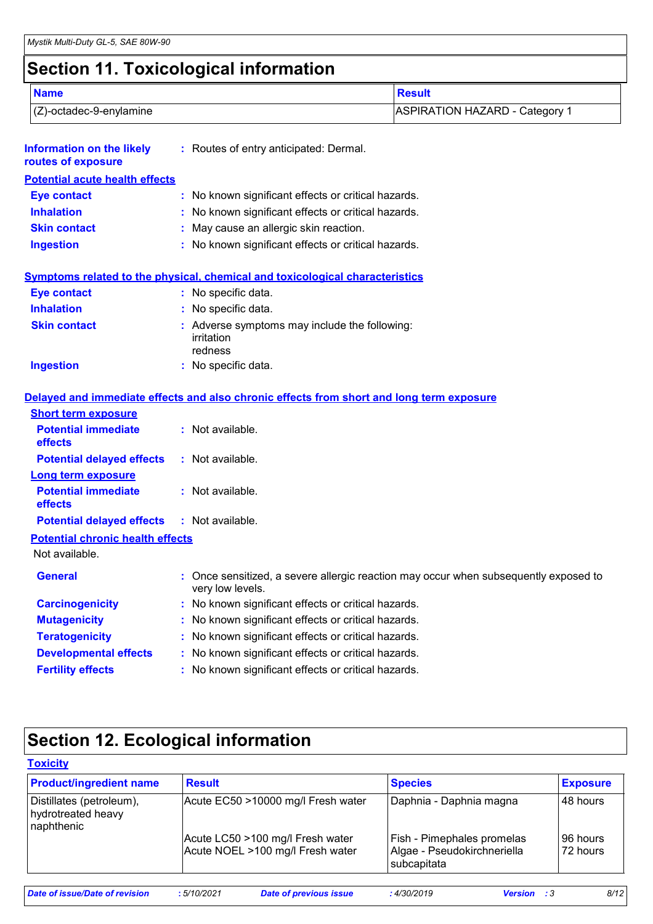### **Section 11. Toxicological information**

|                                                        | . .                                    |                                       |
|--------------------------------------------------------|----------------------------------------|---------------------------------------|
| <b>Name</b>                                            |                                        | <b>Result</b>                         |
| $(Z)$ -octadec-9-enylamine                             |                                        | <b>ASPIRATION HAZARD - Category 1</b> |
| <b>Information on the likely</b><br>routes of exposure | : Routes of entry anticipated: Dermal. |                                       |
| <b>Potential acute health effects</b>                  |                                        |                                       |

| <b>Eye contact</b>  | : No known significant effects or critical hazards. |
|---------------------|-----------------------------------------------------|
| <b>Inhalation</b>   | : No known significant effects or critical hazards. |
| <b>Skin contact</b> | : May cause an allergic skin reaction.              |
| <b>Ingestion</b>    | : No known significant effects or critical hazards. |

### **Symptoms related to the physical, chemical and toxicological characteristics**

| <b>Eye contact</b>  | : No specific data.                                                    |
|---------------------|------------------------------------------------------------------------|
| <b>Inhalation</b>   | : No specific data.                                                    |
| <b>Skin contact</b> | : Adverse symptoms may include the following:<br>irritation<br>redness |
| <b>Ingestion</b>    | : No specific data.                                                    |

#### **Delayed and immediate effects and also chronic effects from short and long term exposure**

| <b>Short term exposure</b>                        |                                                                                                          |
|---------------------------------------------------|----------------------------------------------------------------------------------------------------------|
| <b>Potential immediate</b><br><b>effects</b>      | : Not available.                                                                                         |
| <b>Potential delayed effects</b>                  | : Not available.                                                                                         |
| <b>Long term exposure</b>                         |                                                                                                          |
| <b>Potential immediate</b><br>effects             | $:$ Not available.                                                                                       |
| <b>Potential delayed effects : Not available.</b> |                                                                                                          |
| <b>Potential chronic health effects</b>           |                                                                                                          |
| Not available.                                    |                                                                                                          |
| <b>General</b>                                    | : Once sensitized, a severe allergic reaction may occur when subsequently exposed to<br>very low levels. |
| <b>Carcinogenicity</b>                            | : No known significant effects or critical hazards.                                                      |
| <b>Mutagenicity</b>                               | : No known significant effects or critical hazards.                                                      |
| <b>Teratogenicity</b>                             | : No known significant effects or critical hazards.                                                      |
| <b>Developmental effects</b>                      | : No known significant effects or critical hazards.                                                      |
| <b>Fertility effects</b>                          | : No known significant effects or critical hazards.                                                      |

### **Section 12. Ecological information**

| <b>Product/ingredient name</b>                               | <b>Result</b>                                                        | <b>Species</b>                                                           | <b>Exposure</b>      |
|--------------------------------------------------------------|----------------------------------------------------------------------|--------------------------------------------------------------------------|----------------------|
| Distillates (petroleum),<br>hydrotreated heavy<br>naphthenic | Acute EC50 >10000 mg/l Fresh water                                   | Daphnia - Daphnia magna                                                  | 48 hours             |
|                                                              | Acute LC50 >100 mg/l Fresh water<br>Acute NOEL >100 mg/l Fresh water | Fish - Pimephales promelas<br>Algae - Pseudokirchneriella<br>subcapitata | 96 hours<br>72 hours |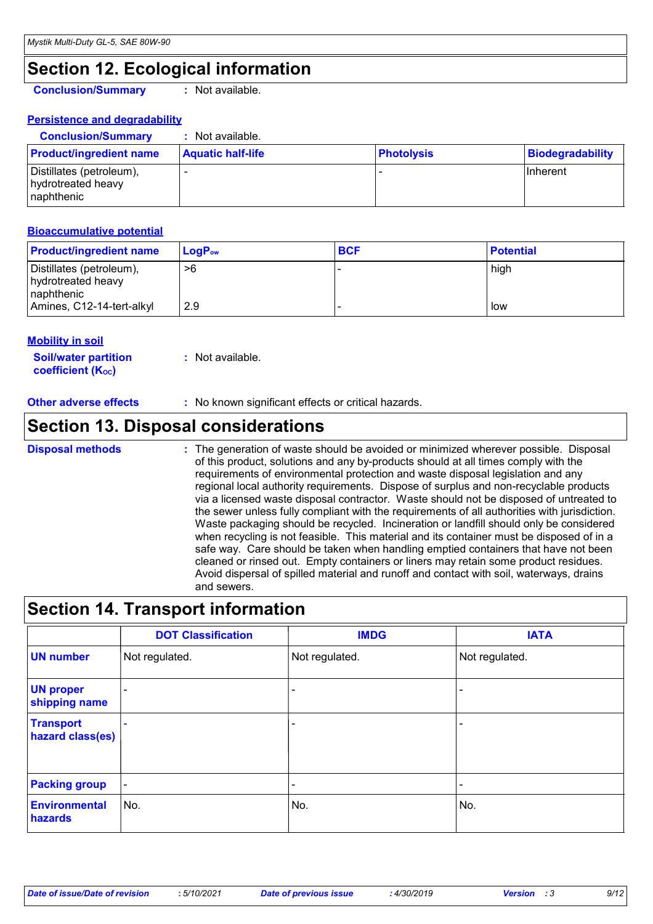### **Section 12. Ecological information**

**Conclusion/Summary :** Not available.

**Persistence and degradability**

| <b>Conclusion/Summary</b>                                     | Not available.           |                   |                  |
|---------------------------------------------------------------|--------------------------|-------------------|------------------|
| <b>Product/ingredient name</b>                                | <b>Aquatic half-life</b> | <b>Photolysis</b> | Biodegradability |
| Distillates (petroleum),<br>hydrotreated heavy<br>Inaphthenic |                          |                   | <b>IInherent</b> |

#### **Bioaccumulative potential**

| <b>Product/ingredient name</b>                               | $LoaPow$ | <b>BCF</b> | <b>Potential</b> |
|--------------------------------------------------------------|----------|------------|------------------|
| Distillates (petroleum),<br>hydrotreated heavy<br>naphthenic | >6       |            | high             |
| Amines, C12-14-tert-alkyl                                    | 2.9      |            | low              |

#### **Mobility in soil**

**Soil/water partition coefficient (K**<sub>oc</sub>) **:** Not available.

**Other adverse effects :** No known significant effects or critical hazards.

### **Section 13. Disposal considerations**

The generation of waste should be avoided or minimized wherever possible. Disposal of this product, solutions and any by-products should at all times comply with the requirements of environmental protection and waste disposal legislation and any regional local authority requirements. Dispose of surplus and non-recyclable products via a licensed waste disposal contractor. Waste should not be disposed of untreated to the sewer unless fully compliant with the requirements of all authorities with jurisdiction. Waste packaging should be recycled. Incineration or landfill should only be considered when recycling is not feasible. This material and its container must be disposed of in a safe way. Care should be taken when handling emptied containers that have not been cleaned or rinsed out. Empty containers or liners may retain some product residues. Avoid dispersal of spilled material and runoff and contact with soil, waterways, drains and sewers. **Disposal methods :**

### **Section 14. Transport information**

|                                      | <b>DOT Classification</b> | <b>IMDG</b>              | <b>IATA</b>              |
|--------------------------------------|---------------------------|--------------------------|--------------------------|
| <b>UN number</b>                     | Not regulated.            | Not regulated.           | Not regulated.           |
| <b>UN proper</b><br>shipping name    | $\overline{\phantom{0}}$  |                          | $\overline{\phantom{a}}$ |
| <b>Transport</b><br>hazard class(es) |                           | $\overline{\phantom{0}}$ | $\overline{\phantom{a}}$ |
| <b>Packing group</b>                 | $\blacksquare$            | $\overline{\phantom{0}}$ | $\overline{\phantom{a}}$ |
| <b>Environmental</b><br>hazards      | No.                       | No.                      | No.                      |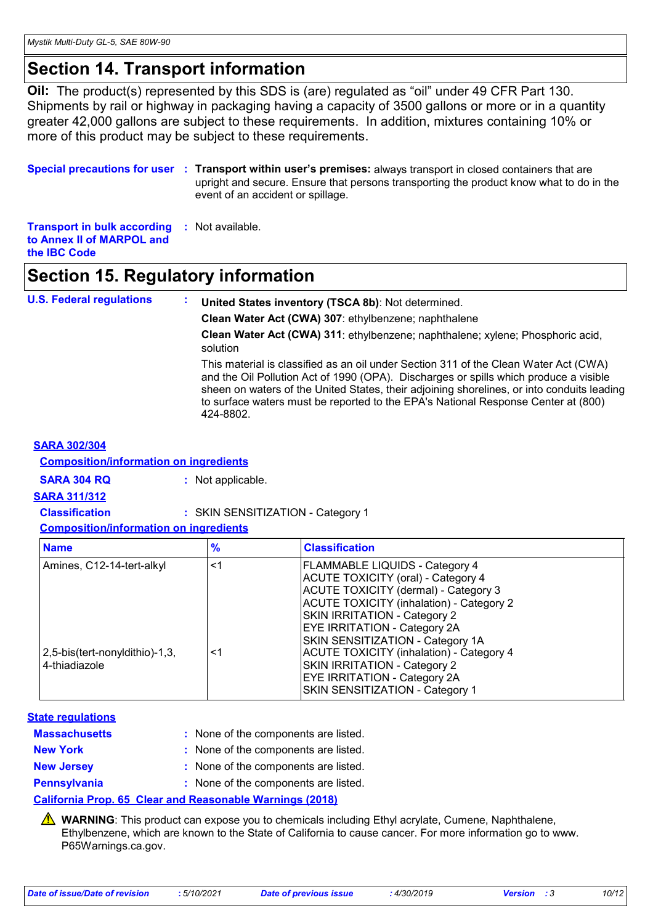### **Section 14. Transport information**

**Oil:** The product(s) represented by this SDS is (are) regulated as "oil" under 49 CFR Part 130. Shipments by rail or highway in packaging having a capacity of 3500 gallons or more or in a quantity greater 42,000 gallons are subject to these requirements. In addition, mixtures containing 10% or more of this product may be subject to these requirements.

**Special precautions for user** : Transport within user's premises: always transport in closed containers that are upright and secure. Ensure that persons transporting the product know what to do in the event of an accident or spillage.

**Transport in bulk according :** Not available. **to Annex II of MARPOL and the IBC Code**

### **Section 15. Regulatory information**

**U.S. Federal regulations : United States inventory (TSCA 8b)**: Not determined.

**Clean Water Act (CWA) 307**: ethylbenzene; naphthalene

**Clean Water Act (CWA) 311**: ethylbenzene; naphthalene; xylene; Phosphoric acid, solution

This material is classified as an oil under Section 311 of the Clean Water Act (CWA) and the Oil Pollution Act of 1990 (OPA). Discharges or spills which produce a visible sheen on waters of the United States, their adjoining shorelines, or into conduits leading to surface waters must be reported to the EPA's National Response Center at (800) 424-8802.

#### **SARA 302/304**

#### **Composition/information on ingredients**

**SARA 304 RQ :** Not applicable.

**SARA 311/312**

**Classification :** SKIN SENSITIZATION - Category 1

**Composition/information on ingredients**

| <b>Name</b>                                     | $\frac{9}{6}$ | <b>Classification</b>                                                                                                                                                                                                                                                       |
|-------------------------------------------------|---------------|-----------------------------------------------------------------------------------------------------------------------------------------------------------------------------------------------------------------------------------------------------------------------------|
| Amines, C12-14-tert-alkyl                       | $\leq$ 1      | <b>FLAMMABLE LIQUIDS - Category 4</b><br><b>ACUTE TOXICITY (oral) - Category 4</b><br>ACUTE TOXICITY (dermal) - Category 3<br><b>ACUTE TOXICITY (inhalation) - Category 2</b>                                                                                               |
| 2,5-bis(tert-nonyldithio)-1,3,<br>4-thiadiazole | ≤1            | SKIN IRRITATION - Category 2<br><b>EYE IRRITATION - Category 2A</b><br>SKIN SENSITIZATION - Category 1A<br><b>ACUTE TOXICITY (inhalation) - Category 4</b><br>SKIN IRRITATION - Category 2<br><b>EYE IRRITATION - Category 2A</b><br><b>SKIN SENSITIZATION - Category 1</b> |

#### **State regulations**

| <b>Massachusetts</b> | : None of the components are listed. |
|----------------------|--------------------------------------|
| <b>New York</b>      | : None of the components are listed. |
| <b>New Jersey</b>    | : None of the components are listed. |
| <b>Pennsylvania</b>  | : None of the components are listed. |

#### **California Prop. 65 Clear and Reasonable Warnings (2018)**

**A** WARNING: This product can expose you to chemicals including Ethyl acrylate, Cumene, Naphthalene, Ethylbenzene, which are known to the State of California to cause cancer. For more information go to www. P65Warnings.ca.gov.

|  |  | Date of issue/Date of revision |  |
|--|--|--------------------------------|--|
|  |  |                                |  |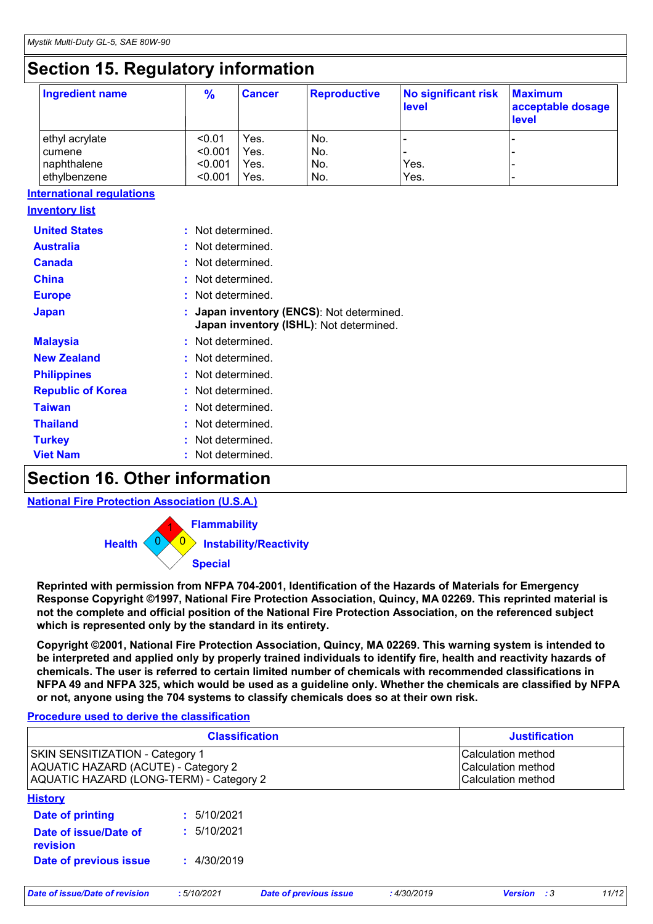### **Section 15. Regulatory information**

| <b>Ingredient name</b> | $\frac{9}{6}$ | <b>Cancer</b> | <b>Reproductive</b> | No significant risk<br><b>level</b> | <b>Maximum</b><br>acceptable dosage<br><b>level</b> |
|------------------------|---------------|---------------|---------------------|-------------------------------------|-----------------------------------------------------|
| ethyl acrylate         | < 0.01        | Yes.          | No.                 |                                     |                                                     |
| cumene                 | < 0.001       | Yes.          | No.                 |                                     |                                                     |
| naphthalene            | < 0.001       | Yes.          | No.                 | Yes.                                |                                                     |
| ethylbenzene           | < 0.001       | Yes.          | No.                 | Yes.                                |                                                     |

|--|

| <b>United States</b>     | Not determined.                                                                    |
|--------------------------|------------------------------------------------------------------------------------|
| <b>Australia</b>         | Not determined.                                                                    |
| <b>Canada</b>            | Not determined.                                                                    |
| <b>China</b>             | : Not determined.                                                                  |
| <b>Europe</b>            | : Not determined.                                                                  |
| <b>Japan</b>             | Japan inventory (ENCS): Not determined.<br>Japan inventory (ISHL): Not determined. |
| <b>Malaysia</b>          | : Not determined.                                                                  |
| <b>New Zealand</b>       | Not determined.                                                                    |
| <b>Philippines</b>       | : Not determined.                                                                  |
| <b>Republic of Korea</b> | Not determined.                                                                    |
| <b>Taiwan</b>            | Not determined.                                                                    |
| <b>Thailand</b>          | Not determined.                                                                    |
| <b>Turkey</b>            | Not determined.                                                                    |
| <b>Viet Nam</b>          | Not determined.                                                                    |

### **Section 16. Other information**

**National Fire Protection Association (U.S.A.)**



**Reprinted with permission from NFPA 704-2001, Identification of the Hazards of Materials for Emergency Response Copyright ©1997, National Fire Protection Association, Quincy, MA 02269. This reprinted material is not the complete and official position of the National Fire Protection Association, on the referenced subject which is represented only by the standard in its entirety.**

**Copyright ©2001, National Fire Protection Association, Quincy, MA 02269. This warning system is intended to be interpreted and applied only by properly trained individuals to identify fire, health and reactivity hazards of chemicals. The user is referred to certain limited number of chemicals with recommended classifications in NFPA 49 and NFPA 325, which would be used as a guideline only. Whether the chemicals are classified by NFPA or not, anyone using the 704 systems to classify chemicals does so at their own risk.**

#### **Procedure used to derive the classification**

| <b>Classification</b>                                                                                             |             |                               |            | <b>Justification</b>                                           |       |  |  |
|-------------------------------------------------------------------------------------------------------------------|-------------|-------------------------------|------------|----------------------------------------------------------------|-------|--|--|
| SKIN SENSITIZATION - Category 1<br>AQUATIC HAZARD (ACUTE) - Category 2<br>AQUATIC HAZARD (LONG-TERM) - Category 2 |             |                               |            | Calculation method<br>Calculation method<br>Calculation method |       |  |  |
| <b>History</b>                                                                                                    |             |                               |            |                                                                |       |  |  |
| Date of printing                                                                                                  | : 5/10/2021 |                               |            |                                                                |       |  |  |
| Date of issue/Date of<br>revision                                                                                 | : 5/10/2021 |                               |            |                                                                |       |  |  |
| Date of previous issue                                                                                            | : 4/30/2019 |                               |            |                                                                |       |  |  |
| Date of issue/Date of revision                                                                                    | :5/10/2021  | <b>Date of previous issue</b> | :4/30/2019 | <b>Version</b> : 3                                             | 11/12 |  |  |